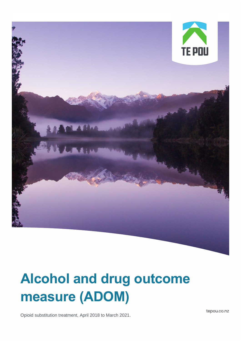

# **Alcohol and drug outcome measure (ADOM)**

Opioid substitution treatment, April 2018 to March 2021.

tepou.co.nz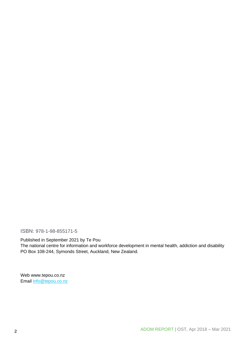ISBN: 978-1-98-855171-5

Published in September 2021 by Te Pou

The national centre for information and workforce development in mental health, addiction and disability PO Box 108-244, Symonds Street, Auckland, New Zealand.

Web www.tepou.co.nz Email [info@tepou.co.nz](mailto:info@tepou.co.nz)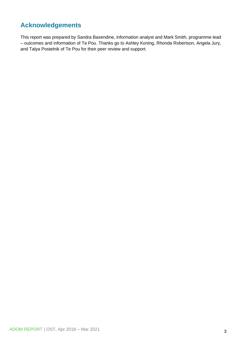## <span id="page-2-0"></span>**Acknowledgements**

This report was prepared by Sandra Baxendine, information analyst and Mark Smith, programme lead – outcomes and information of Te Pou. Thanks go to Ashley Koning, Rhonda Robertson, Angela Jury, and Talya Postelnik of Te Pou for their peer review and support.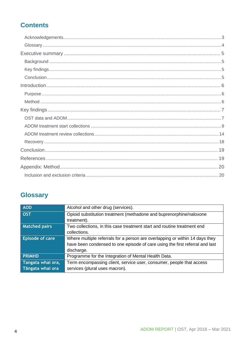# **Contents**

# <span id="page-3-0"></span>**Glossary**

| <b>AOD</b>             | Alcohol and other drug (services).                                                 |
|------------------------|------------------------------------------------------------------------------------|
| <b>OST</b>             | Opioid substitution treatment (methadone and buprenorphine/naloxone<br>treatment). |
| <b>Matched pairs</b>   | Two collections, in this case treatment start and routine treatment end            |
|                        | collections.                                                                       |
| <b>Episode of care</b> | Where multiple referrals for a person are overlapping or within 14 days they       |
|                        | have been condensed to one episode of care using the first referral and last       |
|                        | discharge.                                                                         |
| <b>PRIMHD</b>          | Programme for the Integration of Mental Health Data.                               |
| Tangata whai ora,      | Term encompassing client, service user, consumer, people that access               |
| Tāngata whai ora       | services (plural uses macron).                                                     |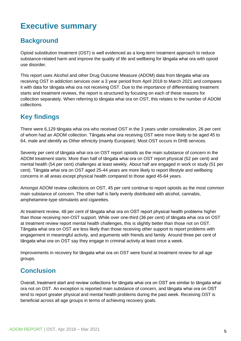# <span id="page-4-0"></span>**Executive summary**

# <span id="page-4-1"></span>**Background**

Opioid substitution treatment (OST) is well evidenced as a long-term treatment approach to reduce substance-related harm and improve the quality of life and wellbeing for tāngata whai ora with opioid use disorder.

This report uses Alcohol and other Drug Outcome Measure (ADOM) data from tāngata whai ora receiving OST in addiction services over a 3 year period from April 2018 to March 2021 and compares it with data for tāngata whai ora not receiving OST. Due to the importance of differentiating treatment starts and treatment reviews, the report is structured by focusing on each of these reasons for collection separately. When referring to tāngata whai ora on OST, this relates to the number of ADOM collections.

# <span id="page-4-2"></span>**Key findings**

There were 6,129 tāngata whai ora who received OST in the 3 years under consideration, 26 per cent of whom had an ADOM collection. Tāngata whai ora receiving OST were more likely to be aged 45 to 64, male and identify as Other ethnicity (mainly European). Most OST occurs in DHB services.

Seventy per cent of tāngata whai ora on OST report opioids as the main substance of concern in the ADOM treatment starts. More than half of tāngata whai ora on OST report physical (52 per cent) and mental health (54 per cent) challenges at least weekly. About half are engaged in work or study (51 per cent). Tāngata whai ora on OST aged 25-44 years are more likely to report lifestyle and wellbeing concerns in all areas except physical health compared to those aged 45-64 years.

Amongst ADOM review collections on OST, 45 per cent continue to report opioids as the most common main substance of concern. The other half is fairly evenly distributed with alcohol, cannabis, amphetamine-type stimulants and cigarettes.

At treatment review, 48 per cent of tāngata whai ora on OST report physical health problems higher than those receiving non-OST support. While over one-third (36 per cent) of tāngata whai ora on OST at treatment review report mental health challenges, this is slightly better than those not on OST. Tāngata whai ora on OST are less likely than those receiving other support to report problems with engagement in meaningful activity, and arguments with friends and family. Around three per cent of tāngata whai ora on OST say they engage in criminal activity at least once a week.

Improvements in recovery for tāngata whai ora on OST were found at treatment review for all age groups.

# <span id="page-4-3"></span>**Conclusion**

Overall, treatment start and review collections for tāngata whai ora on OST are similar to tāngata whai ora not on OST. An exception is reported main substance of concern, and tāngata whai ora on OST tend to report greater physical and mental health problems during the past week. Receiving OST is beneficial across all age groups in terms of achieving recovery goals.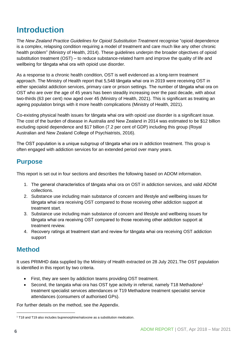# <span id="page-5-0"></span>**Introduction**

The *New Zealand Practice Guidelines for Opioid Substitution Treatment* recognise "opioid dependence is a complex, relapsing condition requiring a model of treatment and care much like any other chronic health problem" (Ministry of Health, 2014). These guidelines underpin the broader objectives of opioid substitution treatment (OST) – to reduce substance-related harm and improve the quality of life and wellbeing for tāngata whai ora with opioid use disorder.

As a response to a chronic health condition, OST is well evidenced as a long-term treatment approach. The Ministry of Health report that 5,548 tāngata whai ora in 2019 were receiving OST in either specialist addiction services, primary care or prison settings. The number of tāngata whai ora on OST who are over the age of 45 years has been steadily increasing over the past decade, with about two-thirds (63 per cent) now aged over 45 (Ministry of Health, 2021). This is significant as treating an ageing population brings with it more health complications (Ministry of Health, 2021).

Co-existing physical health issues for tāngata whai ora with opioid use disorder is a significant issue. The cost of the burden of disease in Australia and New Zealand in 2014 was estimated to be \$12 billion excluding opioid dependence and \$17 billion (7.2 per cent of GDP) including this group (Royal Australian and New Zealand College of Psychiatrists, 2016).

The OST population is a unique subgroup of tāngata whai ora in addiction treatment. This group is often engaged with addiction services for an extended period over many years.

### <span id="page-5-1"></span>**Purpose**

This report is set out in four sections and describes the following based on ADOM information.

- 1. The general characteristics of tāngata whai ora on OST in addiction services, and valid ADOM collections.
- 2. Substance use including main substance of concern and lifestyle and wellbeing issues for tāngata whai ora receiving OST compared to those receiving other addiction support at treatment start.
- 3. Substance use including main substance of concern and lifestyle and wellbeing issues for tāngata whai ora receiving OST compared to those receiving other addiction support at treatment review.
- 4. Recovery ratings at treatment start and review for tāngata whai ora receiving OST addiction support

### <span id="page-5-2"></span>**Method**

It uses PRIMHD data supplied by the Ministry of Health extracted on 28 July 2021.The OST population is identified in this report by two criteria.

- First, they are seen by addiction teams providing OST treatment.
- Second, the tangata whai ora has OST type activity in referral, namely T18 Methadone<sup>1</sup> treatment specialist services attendances or T19 Methadone treatment specialist service attendances (consumers of authorised GPs).

For further details on the method, see the Appendix.

<sup>&</sup>lt;sup>1</sup> T18 and T19 also includes buprenorphine/naloxone as a substitution medication.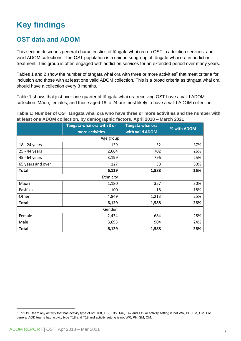# <span id="page-6-0"></span>**Key findings**

### <span id="page-6-1"></span>**OST data and ADOM**

This section describes general characteristics of tāngata whai ora on OST in addiction services, and valid ADOM collections. The OST population is a unique subgroup of tāngata whai ora in addiction treatment. This group is often engaged with addiction services for an extended period over many years.

Tables 1 and 2 show the number of tāngata whai ora with three or more activities<sup>2</sup> that meet criteria for inclusion and those with at least one valid ADOM collection. This is a broad criteria as tāngata whai ora should have a collection every 3 months.

Table 1 shows that just over one-quarter of tāngata whai ora receiving OST have a valid ADOM collection. Māori, females, and those aged 18 to 24 are most likely to have a valid ADOM collection.

**Table 1: Number of OST tāngata whai ora who have three or more activities and the number with at least one ADOM collection, by demographic factors, April 2018 – March 2021**

|                   | Tāngata whai ora with 3 or<br>more activities | Tāngata whai ora<br>with valid ADOM | % with ADOM |  |  |  |  |
|-------------------|-----------------------------------------------|-------------------------------------|-------------|--|--|--|--|
|                   | Age group                                     |                                     |             |  |  |  |  |
| 18 - 24 years     | 139                                           | 52                                  | 37%         |  |  |  |  |
| 25 - 44 years     | 2,664                                         | 702                                 | 26%         |  |  |  |  |
| 45 - 64 years     | 3,199                                         | 796                                 | 25%         |  |  |  |  |
| 65 years and over | 127                                           | 38                                  | 30%         |  |  |  |  |
| <b>Total</b>      | 6,129                                         | 1,588                               | 26%         |  |  |  |  |
|                   | Ethnicity                                     |                                     |             |  |  |  |  |
| Māori             | 1,180                                         | 357                                 | 30%         |  |  |  |  |
| Pasifika          | 100                                           | 18                                  | 18%         |  |  |  |  |
| Other             | 4,849                                         | 1,213                               | 25%         |  |  |  |  |
| <b>Total</b>      | 6,129                                         | 1,588                               | 26%         |  |  |  |  |
| Gender            |                                               |                                     |             |  |  |  |  |
| Female            | 2,434                                         | 684                                 | 28%         |  |  |  |  |
| Male              | 3,693                                         | 904                                 | 24%         |  |  |  |  |
| <b>Total</b>      | 6,129                                         | 1,588                               | 26%         |  |  |  |  |

<sup>&</sup>lt;sup>2</sup> For OST team any activity that has activity type of not T08, T32, T35, T46, T47 and T49 or activity setting is not WR, PH, SM, OM. For general AOD teams had activity type T18 and T19 and activity setting is not WR, PH, SM, OM.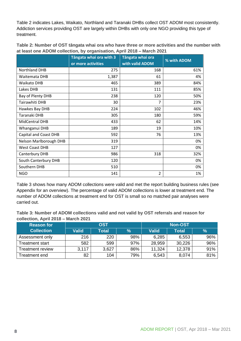Table 2 indicates Lakes, Waikato, Northland and Taranaki DHBs collect OST ADOM most consistently. Addiction services providing OST are largely within DHBs with only one NGO providing this type of treatment.

| Table 2: Number of OST tāngata whai ora who have three or more activities and the number with |  |
|-----------------------------------------------------------------------------------------------|--|
| at least one ADOM collection, by organisation, April 2018 - March 2021                        |  |

|                              | Tāngata whai ora with 3<br>or more activities | Tāngata whai ora<br>with valid ADOM | % with ADOM |
|------------------------------|-----------------------------------------------|-------------------------------------|-------------|
| <b>Northland DHB</b>         | 275                                           | 168                                 | 61%         |
| Waitemata DHB                | 1,387                                         | 61                                  | 4%          |
| <b>Waikato DHB</b>           | 465                                           | 389                                 | 84%         |
| Lakes DHB                    | 131                                           | 111                                 | 85%         |
| Bay of Plenty DHB            | 238                                           | 120                                 | 50%         |
| Tairawhiti DHB               | 30                                            | 7                                   | 23%         |
| Hawkes Bay DHB               | 224                                           | 102                                 | 46%         |
| Taranaki DHB                 | 305                                           | 180                                 | 59%         |
| MidCentral DHB               | 433                                           | 62                                  | 14%         |
| Whanganui DHB                | 189                                           | 19                                  | 10%         |
| <b>Capital and Coast DHB</b> | 592                                           | 76                                  | 13%         |
| Nelson Marlborough DHB       | 319                                           |                                     | 0%          |
| <b>West Coast DHB</b>        | 127                                           |                                     | 0%          |
| Canterbury DHB               | 986                                           | 318                                 | 32%         |
| South Canterbury DHB         | 120                                           |                                     | 0%          |
| Southern DHB                 | 510                                           |                                     | 0%          |
| <b>NGO</b>                   | 141                                           | $\overline{2}$                      | 1%          |

Table 3 shows how many ADOM collections were valid and met the report building business rules (see Appendix for an overview). The percentage of valid ADOM collections is lower at treatment end. The number of ADOM collections at treatment end for OST is small so no matched pair analyses were carried out.

**Table 3: Number of ADOM collections valid and not valid by OST referrals and reason for collection, April 2018 – March 2021**

| ∣Reason for ˈ     | <b>OST</b>   |       |     | Non-OST |        |      |
|-------------------|--------------|-------|-----|---------|--------|------|
| <b>Collection</b> | <b>Valid</b> | Total | %   | Valid   | Total  | $\%$ |
| Assessment only   | 216          | 220   | 98% | 6,285   | 6,553  | 96%  |
| Treatment start   | 582          | 599   | 97% | 28,959  | 30,226 | 96%  |
| Treatment review  | 3,117        | 3,627 | 86% | 11,324  | 12,378 | 91%  |
| ⊺reatment end     | 82           | 104   | 79% | 6,543   | 8,074  | 81%  |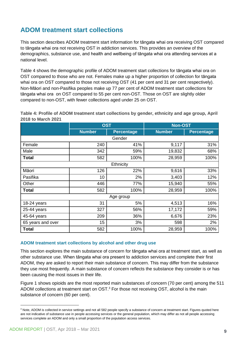## <span id="page-8-0"></span>**ADOM treatment start collections**

This section describes ADOM treatment start information for tāngata whai ora receiving OST compared to tāngata whai ora not receiving OST in addiction services. This provides an overview of the demographics, substance use, and health and wellbeing of tāngata whai ora attending services at a national level.

Table 4 shows the demographic profile of ADOM treatment start collections for tāngata whai ora on OST compared to those who are not. Females make up a higher proportion of collection for tāngata whai ora on OST compared to those not receiving OST (41 per cent and 31 per cent respectively). Non-Māori and non-Pasifika peoples make up 77 per cent of ADOM treatment start collections for tāngata whai ora on OST compared to 55 per cent non-OST. Those on OST are slightly older compared to non-OST, with fewer collections aged under 25 on OST.

**Table 4: Profile of ADOM treatment start collections by gender, ethnicity and age group, April 2018 to March 2021**

|                   | <b>OST</b>    |                   | <b>Non-OST</b> |                   |  |  |  |
|-------------------|---------------|-------------------|----------------|-------------------|--|--|--|
|                   | <b>Number</b> | <b>Percentage</b> | <b>Number</b>  | <b>Percentage</b> |  |  |  |
|                   |               | Gender            |                |                   |  |  |  |
| Female            | 240           | 41%               | 9,117          | 31%               |  |  |  |
| Male              | 342           | 59%               | 19,832         | 68%               |  |  |  |
| <b>Total</b>      | 582           | 100%              | 28,959         | 100%              |  |  |  |
|                   |               | Ethnicity         |                |                   |  |  |  |
| Māori             | 126           | 22%               | 9,616          | 33%               |  |  |  |
| Pasifika          | 10            | 2%                | 3,403          | 12%               |  |  |  |
| Other             | 446           | 77%               | 15,940         | 55%               |  |  |  |
| <b>Total</b>      | 582           | 100%              | 28,959         | 100%              |  |  |  |
|                   | Age group     |                   |                |                   |  |  |  |
| 18-24 years       | 31            | 5%                | 4,513          | 16%               |  |  |  |
| 25-44 years       | 327           | 56%               | 17,172         | 59%               |  |  |  |
| 45-64 years       | 209           | 36%               | 6,676          | 23%               |  |  |  |
| 65 years and over | 15            | 3%                | 598            | 2%                |  |  |  |
| <b>Total</b>      | 582           | 100%              | 28,959         | 100%              |  |  |  |

#### **ADOM treatment start collections by alcohol and other drug use**

This section explores the main substance of concern for tāngata whai ora at treatment start, as well as other substance use. When tāngata whai ora present to addiction services and complete their first ADOM, they are asked to report their main substance of concern. This may differ from the substance they use most frequently. A main substance of concern reflects the substance they consider is or has been causing the most issues in their life.

Figure 1 shows opioids are the most reported main substances of concern (70 per cent) among the 511 ADOM collections at treatment start on  $OST<sup>3</sup>$  For those not receiving OST, alcohol is the main substance of concern (60 per cent).

<sup>&</sup>lt;sup>3</sup> Note, ADOM is collected in service settings and not all 582 people specify a substance of concern at treatment start. Figures quoted here are not indicative of substance use in people accessing services or the general population, which may differ as not all people accessing services complete an ADOM and only a small proportion of the population access services.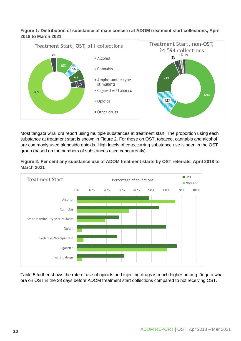#### **Figure 1: Distribution of substance of main concern at ADOM treatment start collections, April 2018 to March 2021**



Most tāngata whai ora report using multiple substances at treatment start. The proportion using each substance at treatment start is shown in Figure 2. For those on OST, tobacco, cannabis and alcohol are commonly used alongside opioids. High levels of co-occurring substance use is seen in the OST group (based on the numbers of substances used concurrently).





Table 5 further shows the rate of use of opioids and injecting drugs is much higher among tāngata whai ora on OST in the 28 days before ADOM treatment start collections compared to not receiving OST.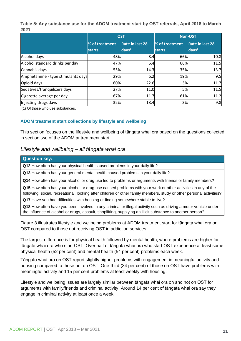**Table 5: Any substance use for the ADOM treatment start by OST referrals, April 2018 to March 2021**

|                                    |                                 | <b>OST</b>                         | <b>Non-OST</b>                  |                                              |
|------------------------------------|---------------------------------|------------------------------------|---------------------------------|----------------------------------------------|
|                                    | % of treatment<br><b>starts</b> | Rate in last 28<br>$\sqrt{days^1}$ | % of treatment<br><b>starts</b> | Rate in last 28<br>$\vert$ days <sup>1</sup> |
| Alcohol days                       | 48%                             | 8.4                                | 66%                             | 10.8                                         |
| Alcohol standard drinks per day    | 47%                             | 6.4                                | 66%                             | 11.5                                         |
| Cannabis days                      | 55%                             | 14.3                               | 35%                             | 13.7                                         |
| Amphetamine - type stimulants days | 29%                             | 6.2                                | 19%                             | 9.5                                          |
| Opioid days                        | 60%                             | 22.6                               | 3%                              | 11.7                                         |
| Sedatives/tranquilizers days       | 27%                             | 11.0                               | 5%                              | 11.5                                         |
| Cigarette average per day          | 67%                             | 11.7                               | 61%                             | 11.2                                         |
| Injecting drugs days               | 32%                             | 18.4                               | 3%                              | 9.8                                          |

(1) Of those who use substances.

#### **ADOM treatment start collections by lifestyle and wellbeing**

This section focuses on the lifestyle and wellbeing of tāngata whai ora based on the questions collected in section two of the ADOM at treatment start.

#### *Lifestyle and wellbeing – all tāngata whai ora*

| <b>Question key:</b>                                                                                                                                                                                                                |
|-------------------------------------------------------------------------------------------------------------------------------------------------------------------------------------------------------------------------------------|
| Q12 How often has your physical health caused problems in your daily life?                                                                                                                                                          |
| Q13 How often has your general mental health caused problems in your daily life?                                                                                                                                                    |
| Q14 How often has your alcohol or drug use led to problems or arguments with friends or family members?                                                                                                                             |
| Q15 How often has your alcohol or drug use caused problems with your work or other activities in any of the<br>following: social, recreational, looking after children or other family members, study or other personal activities? |
| Q17 Have you had difficulties with housing or finding somewhere stable to live?                                                                                                                                                     |
| Q18 How often have you been involved in any criminal or illegal activity such as driving a motor vehicle under<br>the influence of alcohol or drugs, assault, shoplifting, supplying an illicit substance to another person?        |

Figure 3 illustrates lifestyle and wellbeing problems at ADOM treatment start for tāngata whai ora on OST compared to those not receiving OST in addiction services.

The largest difference is for physical health followed by mental health, where problems are higher for tāngata whai ora who start OST. Over half of tāngata whai ora who start OST experience at least some physical health (52 per cent) and mental health (54 per cent) problems each week.

Tāngata whai ora on OST report slightly higher problems with engagement in meaningful activity and housing compared to those not on OST. One-third (34 per cent) of those on OST have problems with meaningful activity and 15 per cent problems at least weekly with housing.

Lifestyle and wellbeing issues are largely similar between tāngata whai ora on and not on OST for arguments with family/friends and criminal activity. Around 14 per cent of tāngata whai ora say they engage in criminal activity at least once a week.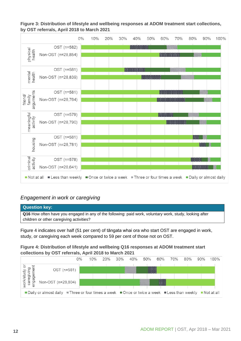**Figure 3: Distribution of lifestyle and wellbeing responses at ADOM treatment start collections, by OST referrals, April 2018 to March 2021**



#### *Engagement in work or caregiving*

#### **Question key:**

**Q16** How often have you engaged in any of the following: paid work, voluntary work, study, looking after children or other caregiving activities?

Figure 4 indicates over half (51 per cent) of tāngata whai ora who start OST are engaged in work, study, or caregiving each week compared to 59 per cent of those not on OST.

#### **Figure 4: Distribution of lifestyle and wellbeing Q16 responses at ADOM treatment start collections by OST referrals, April 2018 to March 2021**

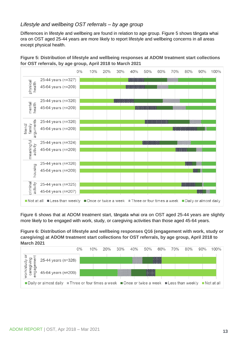#### *Lifestyle and wellbeing OST referrals – by age group*

Differences in lifestyle and wellbeing are found in relation to age group. Figure 5 shows tāngata whai ora on OST aged 25-44 years are more likely to report lifestyle and wellbeing concerns in all areas except physical health.

**Figure 5: Distribution of lifestyle and wellbeing responses at ADOM treatment start collections for OST referrals, by age group, April 2018 to March 2021**



Figure 6 shows that at ADOM treatment start, tāngata whai ora on OST aged 25-44 years are slightly more likely to be engaged with work, study, or caregiving activities than those aged 45-64 years.

**Figure 6: Distribution of lifestyle and wellbeing responses Q16 (engagement with work, study or caregiving) at ADOM treatment start collections for OST referrals, by age group, April 2018 to March 2021**

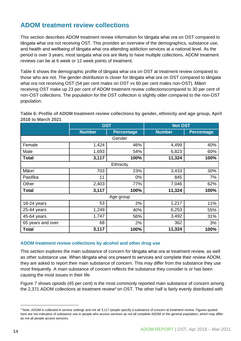## <span id="page-13-0"></span>**ADOM treatment review collections**

This section describes ADOM treatment review information for tāngata whai ora on OST compared to tāngata whai ora not receiving OST. This provides an overview of the demographics, substance use, and health and wellbeing of tāngata whai ora attending addiction services at a national level. As the period is over 3 years, most tangata whai ora are likely to have multiple collections. ADOM treatment reviews can be at 6 week or 12 week points of treatment.

Table 6 shows the demographic profile of tāngata whai ora on OST at treatment review compared to those who are not. The gender distribution is closer for tāngata whai ora on OST compared to tāngata whai ora not receiving OST (54 per cent males on OST vs 60 per cent males non-OST). Māori receiving OST make up 23 per cent of ADOM treatment review collectionscompared to 30 per cent of non-OST collections. The population for the OST collection is slightly older compared to the non-OST population.

**Table 6: Profile of ADOM treatment review collections by gender, ethnicity and age group, April 2018 to March 2021**

|                   | <b>OST</b>    |                   | <b>Not OST</b> |                   |  |  |  |  |  |
|-------------------|---------------|-------------------|----------------|-------------------|--|--|--|--|--|
|                   | <b>Number</b> | <b>Percentage</b> | <b>Number</b>  | <b>Percentage</b> |  |  |  |  |  |
|                   | Gender        |                   |                |                   |  |  |  |  |  |
| Female            | 1,424         | 46%               | 4,499          | 40%               |  |  |  |  |  |
| Male              | 1,693         | 54%               | 6,823          | 60%               |  |  |  |  |  |
| <b>Total</b>      | 3,117         | 100%              | 11,324         | 100%              |  |  |  |  |  |
|                   |               | Ethnicity         |                |                   |  |  |  |  |  |
| Māori             | 703           | 23%               | 3,433          | 30%               |  |  |  |  |  |
| Pasifika          | 11            | 0%                | 845            | 7%                |  |  |  |  |  |
| Other             | 2,403         | 77%               | 7,046          | 62%               |  |  |  |  |  |
| <b>Total</b>      | 3,117         | 100%              | 11,324         | 100%              |  |  |  |  |  |
| Age group         |               |                   |                |                   |  |  |  |  |  |
| 18-24 years       | 53            | 2%                | 1,217          | 11%               |  |  |  |  |  |
| 25-44 years       | 1,249         | 40%               | 6,253          | 55%               |  |  |  |  |  |
| 45-64 years       | 1,747         | 56%               | 3,492          | 31%               |  |  |  |  |  |
| 65 years and over | 68            | 2%                | 362            | 3%                |  |  |  |  |  |
| <b>Total</b>      | 3,117         | 100%              | 11,324         | 100%              |  |  |  |  |  |

#### **ADOM treatment review collections by alcohol and other drug use**

This section explores the main substance of concern for tāngata whai ora at treatment review, as well as other substance use. When tāngata whai ora present to services and complete their review ADOM, they are asked to report their main substance of concern. This may differ from the substance they use most frequently. A main substance of concern reflects the substance they consider is or has been causing the most issues in their life.

Figure 7 shows opioids (45 per cent) is the most commonly reported main substance of concern among the 2,371 ADOM collections at treatment review<sup>4</sup> on OST. The other half is fairly evenly distributed with

<sup>4</sup> Note, ADOM is collected in service settings and not all 3,117 people specify a substance of concern at treatment review. Figures quoted here are not indicative of substance use in people who access services as not all complete ADOM or the general population, which may differ as not all people access services.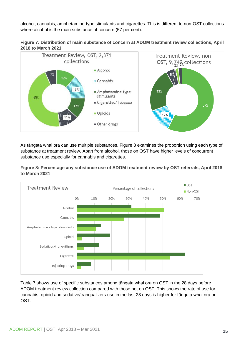alcohol, cannabis, amphetamine-type stimulants and cigarettes. This is different to non-OST collections where alcohol is the main substance of concern (57 per cent).





As tāngata whai ora can use multiple substances, Figure 8 examines the proportion using each type of substance at treatment review. Apart from alcohol, those on OST have higher levels of concurrent substance use especially for cannabis and cigarettes.

**Figure 8: Percentage any substance use of ADOM treatment review by OST referrals, April 2018 to March 2021**



Table 7 shows use of specific substances among tāngata whai ora on OST in the 28 days before ADOM treatment review collection compared with those not on OST. This shows the rate of use for cannabis, opioid and sedative/tranqualizers use in the last 28 days is higher for tāngata whai ora on OST.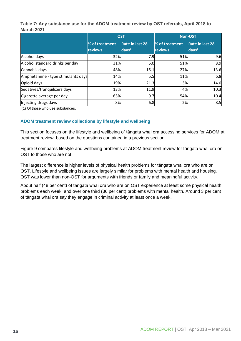**Table 7: Any substance use for the ADOM treatment review by OST referrals, April 2018 to March 2021** 

|                                    |                | <b>OST</b>                | <b>Non-OST</b> |                        |
|------------------------------------|----------------|---------------------------|----------------|------------------------|
|                                    | % of treatment | Rate in last 28           | % of treatment | <b>Rate in last 28</b> |
|                                    | reviews        | $\vert$ days <sup>1</sup> | reviews        | days <sup>1</sup>      |
| Alcohol days                       | 32%            | 7.9                       | 51%            | 9.6                    |
| Alcohol standard drinks per day    | 31%            | 5.0                       | 51%            | 8.9                    |
| Cannabis days                      | 48%            | 15.1                      | 27%            | 13.6                   |
| Amphetamine - type stimulants days | 14%            | 5.5                       | 11%            | 6.8                    |
| Opioid days                        | 19%            | 21.3                      | 3%             | 14.0                   |
| Sedatives/tranquilizers days       | 13%            | 11.9                      | 4%             | 10.3                   |
| Cigarette average per day          | 63%            | 9.7                       | 54%            | 10.4                   |
| Injecting drugs days               | 8%             | 6.8                       | 2%             | 8.5                    |

(1) Of those who use substances.

#### **ADOM treatment review collections by lifestyle and wellbeing**

This section focuses on the lifestyle and wellbeing of tāngata whai ora accessing services for ADOM at treatment review, based on the questions contained in a previous section.

Figure 9 compares lifestyle and wellbeing problems at ADOM treatment review for tāngata whai ora on OST to those who are not.

The largest difference is higher levels of physical health problems for tāngata whai ora who are on OST. Lifestyle and wellbeing issues are largely similar for problems with mental health and housing. OST was lower than non-OST for arguments with friends or family and meaningful activity.

About half (48 per cent) of tāngata whai ora who are on OST experience at least some physical health problems each week, and over one third (36 per cent) problems with mental health. Around 3 per cent of tāngata whai ora say they engage in criminal activity at least once a week.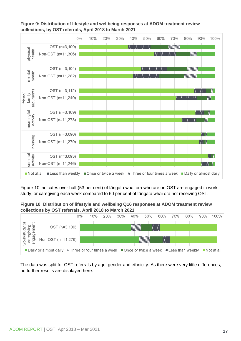**Figure 9: Distribution of lifestyle and wellbeing responses at ADOM treatment review collections, by OST referrals, April 2018 to March 2021**



Figure 10 indicates over half (53 per cent) of tāngata whai ora who are on OST are engaged in work, study, or caregiving each week compared to 60 per cent of tāngata whai ora not receiving OST.

**Figure 10: Distribution of lifestyle and wellbeing Q16 responses at ADOM treatment review collections by OST referrals, April 2018 to March 2021**



The data was split for OST referrals by age, gender and ethnicity. As there were very little differences, no further results are displayed here.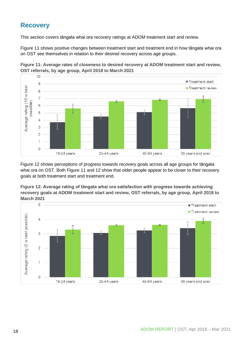# <span id="page-17-0"></span>**Recovery**

18-24 years

This section covers tāngata whai ora recovery ratings at ADOM treatment start and review.

Figure 11 shows positive changes between treatment start and treatment end in how tāngata whai ora on OST see themselves in relation to their desired recovery across age groups.



**Figure 11: Average rates of closeness to desired recovery at ADOM treatment start and review, OST referrals, by age group, April 2018 to March 2021**

Figure 12 shows perceptions of progress towards recovery goals across all age groups for tāngata whai ora on OST. Both Figure 11 and 12 show that older people appear to be closer to their recovery goals at both treatment start and treatment end.

45-64 years

65 years and over

25-44 years

**Figure 12: Average rating of tāngata whai ora satisfaction with progress towards achieving recovery goals at ADOM treatment start and review, OST referrals, by age group, April 2018 to March 2021**

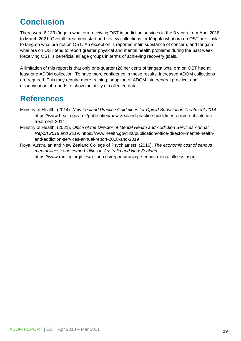# <span id="page-18-0"></span>**Conclusion**

There were 6,133 tāngata whai ora receiving OST in addiction services in the 3 years from April 2018 to March 2021. Overall, treatment start and review collections for tāngata whai ora on OST are similar to tāngata whai ora not on OST. An exception is reported main substance of concern, and tāngata whai ora on OST tend to report greater physical and mental health problems during the past week. Receiving OST is beneficial all age groups in terms of achieving recovery goals.

A limitation of this report is that only one-quarter (26 per cent) of tāngata whai ora on OST had at least one ADOM collection. To have more confidence in these results, increased ADOM collections are required. This may require more training, adoption of ADOM into general practice, and dissemination of reports to show the utility of collected data.

# <span id="page-18-1"></span>**References**

- Ministry of Health. (2014). *New Zealand Practice Guidelines for Opioid Substitution Treatment 2014*. https://www.health.govt.nz/publication/new-zealand-practice-guidelines-opioid-substitutiontreatment-2014
- Ministry of Health. (2021). *Office of the Director of Mental Health and Addiction Services Annual Report 2018 and 2019*. https://www.health.govt.nz/publication/office-director-mental-healthand-addiction-services-annual-report-2018-and-2019
- Royal Australian and New Zealand College of Psychiatrists. (2016). *The economic cost of serious mental illness and comorbidities in Australia and New Zealand*. https://www.ranzcp.org/files/resources/reports/ranzcp-serious-mental-illness.aspx